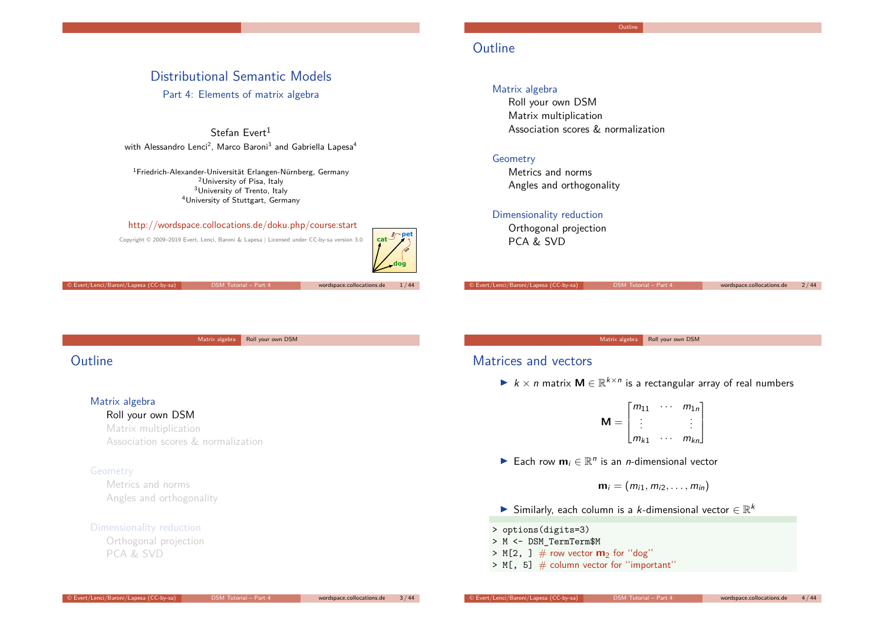# Distributional Semantic Models

Part 4: Elements of matrix algebra

Stefan Evert $1$ with Alessandro Lenci $^2$ , Marco Baroni $^3$  and Gabriella Lapesa $^4$ 

Friedrich-Alexander-Universität Erlangen-Nürnberg, Germany <sup>2</sup>University of Pisa, Italy University of Trento, Italy University of Stuttgart, Germany

#### http://wordspace.collocations.de/doku.php/course:start

Copyright © 2009–2019 Evert, Lenci, Baroni & Lapesa | Licensed under CC-by-sa version 3.0



© Evert/Lenci/Baroni/Lapesa (CC-by-sa) DSM Tutorial – Part 4 wordspace.collocations.de 1 / 44

Matrix algebra Roll your own DSM

# **Outline**

### Matrix algebra

#### Roll your own DSM

Matrix multiplication Association scores & normalization

#### Geometry

Metrics and norms Angles and orthogonality

#### Dimensionality reduction

Orthogonal projection PCA & SVD

# **Outline**

### Matrix algebra

Roll your own DSM Matrix multiplication Association scores & normalization

### Geometry

Metrics and norms Angles and orthogonality

### Dimensionality reduction

Orthogonal projection PCA & SVD

© Evert/Lenci/Baroni/Lapesa (CC-by-sa) DSM Tutorial – Part 4 wordspace.collocations.de 2 / 44

Matrix algebra Roll your own DSM

# Matrices and vectors

▶  $k \times n$  matrix  $M \in \mathbb{R}^{k \times n}$  is a rectangular array of real numbers

$$
\mathbf{M} = \begin{bmatrix} m_{11} & \cdots & m_{1n} \\ \vdots & & \vdots \\ m_{k1} & \cdots & m_{kn} \end{bmatrix}
$$

**►** Each row  $m_i \in \mathbb{R}^n$  is an *n*-dimensional vector

$$
\mathbf{m}_i=(m_{i1},m_{i2},\ldots,m_{in})
$$

- ▶ Similarly, each column is a *k*-dimensional vector  $\in \mathbb{R}^k$
- > options(digits=3)
- > M <- DSM\_TermTerm\$M
- $> M[2, ]$  # row vector **m**<sub>2</sub> for "dog"
- $> M[$ , 5]  $\#$  column vector for "important"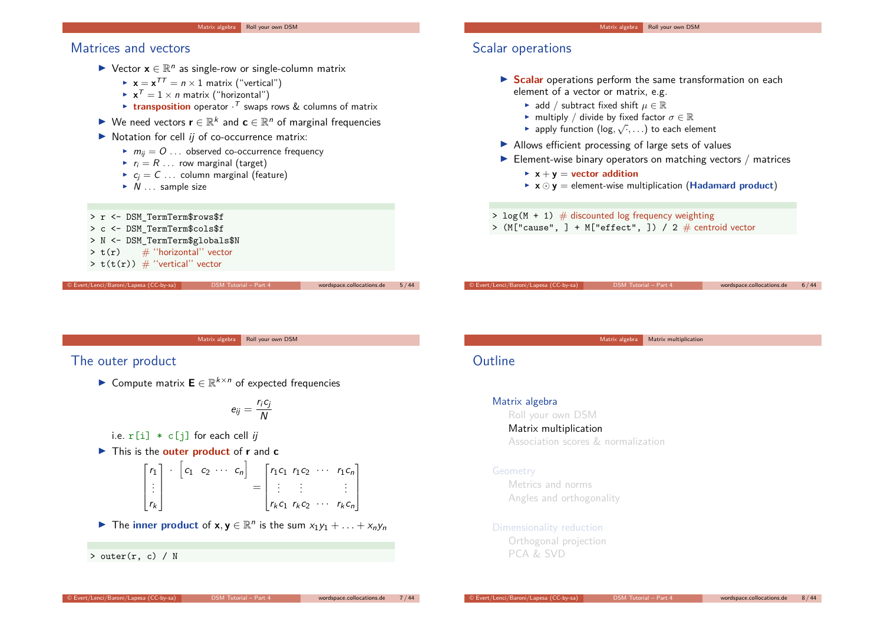# Matrices and vectors

- ► Vector **x**  $\in \mathbb{R}^n$  as single-row or single-column matrix
	- $\mathbf{x} = \mathbf{x}^{TT} = n \times 1$  matrix ("vertical")
	- $\blacktriangleright$   $\mathbf{x}^{\mathcal{T}} = 1 \times n$  matrix ("horizontal")
	- **Exercise 1 ransposition** operator  $\cdot^T$  swaps rows & columns of matrix
- ► We need vectors  $\mathbf{r} \in \mathbb{R}^k$  and  $\mathbf{c} \in \mathbb{R}^n$  of marginal frequencies
- $\blacktriangleright$  Notation for cell *ij* of co-occurrence matrix:
	- $\blacktriangleright$   $m_{ii} = 0$  ... observed co-occurrence frequency
	- $\blacktriangleright$   $r_i = R$  ... row marginal (target)
	- $\triangleright$   $c_i = C \dots$  column marginal (feature)
	- $\triangleright$  N ... sample size



# Scalar operations

- **In Scalar** operations perform the same transformation on each element of a vector or matrix, e.g.
	- **►** add / subtract fixed shift  $\mu \in \mathbb{R}$
	- **F** multiply / divide by fixed factor  $\sigma \in \mathbb{R}$
	- ► apply function  $(log, √, ...)$  to each element
- $\blacktriangleright$  Allows efficient processing of large sets of values
- $\blacktriangleright$  Element-wise binary operators on matching vectors / matrices
	- $\triangleright$  **x** + **y** = **vector** addition
	- $\triangleright$   $\mathbf{x} \odot \mathbf{y}$  = element-wise multiplication (**Hadamard product**)

© Evert/Lenci/Baroni/Lapesa (CC-by-sa) DSM Tutorial – Part 4 wordspace.collocations.de 6 / 44

Matrix algebra Matrix multiplication

- $>$  log(M + 1)  $\#$  discounted log frequency weighting
- > (M["cause",  $] + M$ ["effect",  $]$ ) / 2  $#$  centroid vector

Matrix algebra Roll your own DSM

### The outer product

► Compute matrix  $\mathbf{E} \in \mathbb{R}^{k \times n}$  of expected frequencies

$$
e_{ij}=\frac{r_ic_j}{N}
$$

i.e.  $r[i] * c[i]$  for each cell ij

▶ This is the **outer product** of **r** and **c** 

$$
\begin{bmatrix} r_1 \\ \vdots \\ r_k \end{bmatrix} \cdot \begin{bmatrix} c_1 & c_2 & \cdots & c_n \end{bmatrix} = \begin{bmatrix} r_1c_1 & r_1c_2 & \cdots & r_1c_n \\ \vdots & \vdots & & \vdots \\ r_kc_1 & r_kc_2 & \cdots & r_kc_n \end{bmatrix}
$$

▶ The **inner product** of **x**,  $\mathbf{y} \in \mathbb{R}^n$  is the sum  $x_1y_1 + \ldots + x_ny_n$ 

 $>$  outer(r, c) / N

# **Outline**

#### Matrix algebra

Roll your own DSM Matrix multiplication Association scores & normalization

#### Geometry

Metrics and norms Angles and orthogonality

#### Dimensionality reduction

Orthogonal projection PCA & SVD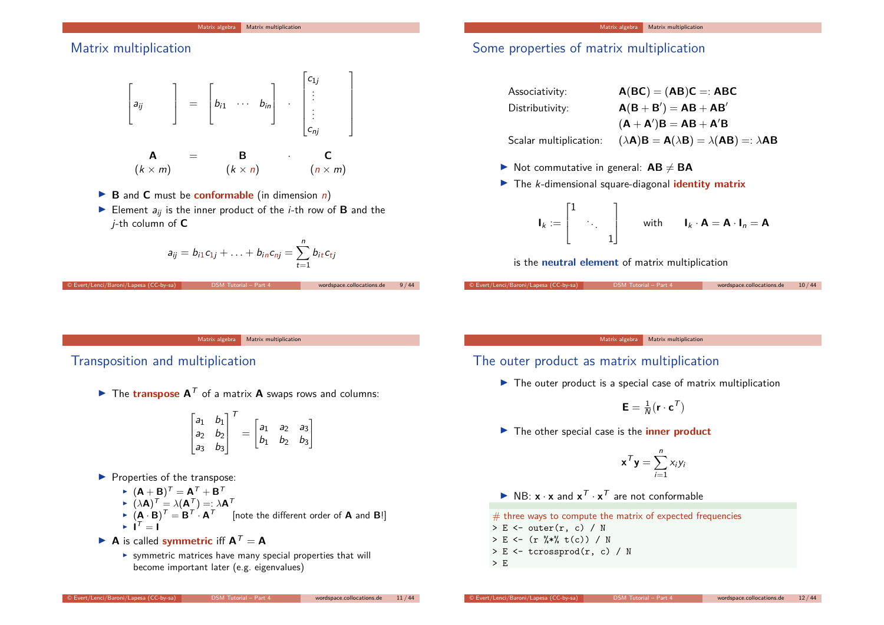# Matrix multiplication



- $\triangleright$  **B** and **C** must be **conformable** (in dimension *n*)
- Element  $a_{ii}$  is the inner product of the *i*-th row of **B** and the j-th column of **C**

$$
a_{ij} = b_{i1}c_{1j} + \ldots + b_{in}c_{nj} = \sum_{t=1}^n b_{it}c_{tj}
$$

© Evert/Lenci/Baroni/Lapesa (CC-by-sa) DSM Tutorial – Part 4 wordspace.collocations.de 9 / 44

Matrix algebra Matrix multiplication

# Some properties of matrix multiplication

| Associativity:         | $A(BC) = (AB)C =: ABC$                                    |
|------------------------|-----------------------------------------------------------|
| Distributivity:        | $A(B + B') = AB + AB'$                                    |
|                        | $(A + A')B = AB + A'B$                                    |
| Scalar multiplication: | $(\lambda A)B = A(\lambda B) = \lambda(AB) =: \lambda AB$ |

- $\triangleright$  Not commutative in general:  $AB \neq BA$
- **IF** The *k*-dimensional square-diagonal **identity matrix**

$$
\mathbf{I}_k := \begin{bmatrix} 1 & & \\ & \ddots & \\ & & 1 \end{bmatrix} \qquad \text{with} \qquad \mathbf{I}_k \cdot \mathbf{A} = \mathbf{A} \cdot \mathbf{I}_n = \mathbf{A}
$$

© Evert/Lenci/Baroni/Lapesa (CC-by-sa) DSM Tutorial – Part 4 wordspace.collocations.de 10 / 44

is the **neutral element** of matrix multiplication

Matrix algebra Matrix multiplication

## Transposition and multiplication

 $\blacktriangleright$  The **transpose A**<sup>T</sup> of a matrix **A** swaps rows and columns:

$$
\begin{bmatrix} a_1 & b_1 \ a_2 & b_2 \ a_3 & b_3 \end{bmatrix}^T = \begin{bmatrix} a_1 & a_2 & a_3 \ b_1 & b_2 & b_3 \end{bmatrix}
$$

- $\blacktriangleright$  Properties of the transpose:
	- $\blacktriangleright$   $(\mathsf{A} + \mathsf{B})^{\mathsf{T}} = \mathsf{A}^{\mathsf{T}} + \mathsf{B}^{\mathsf{T}}$

$$
\blacktriangleright (\lambda \mathbf{A})^T = \lambda (\mathbf{A}^T) = \lambda \mathbf{A}^T
$$

- $\blacktriangleright$   $(\mathbf{A} \cdot \mathbf{B})^T = \mathbf{B}^T \cdot \mathbf{A}^T$  [note the different order of **A** and **B**!]<br>  $\blacktriangleright$   $\mathbf{I}^T = \mathbf{I}$
- $\blacktriangleright$  **A** is called **symmetric** iff  $A^T = A$ 
	- $\triangleright$  symmetric matrices have many special properties that will become important later (e.g. eigenvalues)

Matrix algebra Matrix multiplication

The outer product as matrix multiplication

 $\blacktriangleright$  The outer product is a special case of matrix multiplication

$$
\textbf{E} = \tfrac{1}{N}(\textbf{r}\cdot\textbf{c}^{\mathcal{T}})
$$

▶ The other special case is the **inner product** 

$$
\mathbf{x}^T \mathbf{y} = \sum_{i=1}^n x_i y_i
$$

 $\blacktriangleright$  NB:  $\mathbf{x} \cdot \mathbf{x}$  and  $\mathbf{x}^T \cdot \mathbf{x}^T$  are not conformable

```
# three ways to compute the matrix of expected frequencies
> E <- outer(r, c) / N
> E <- (r %*% t(c)) / N
> E <- tcrossprod(r, c) / N
> E
```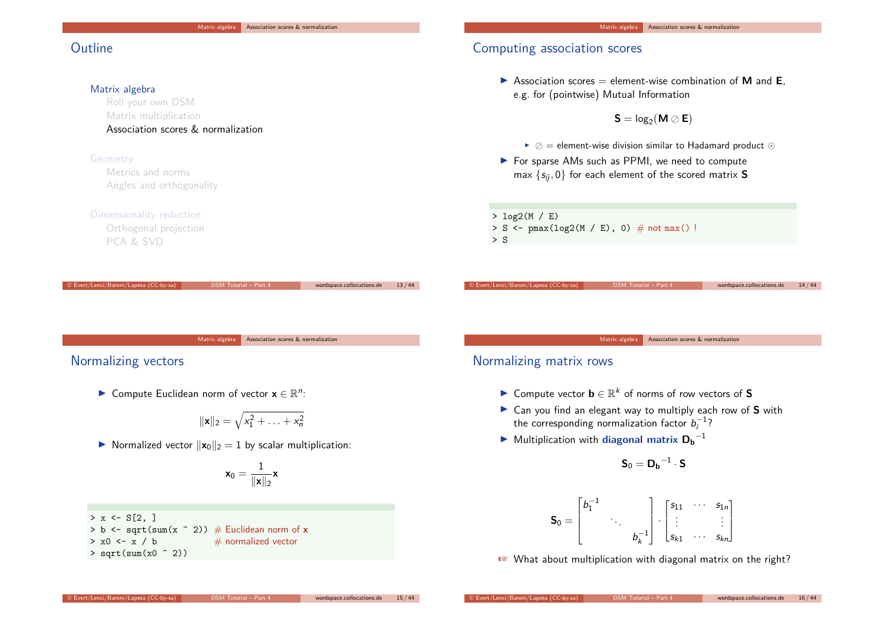# **Outline**

### Matrix algebra

Roll your own DSM Matrix multiplication Association scores & normalization

### Geometry

Metrics and norms Angles and orthogonality

#### Dimensionality reduction

Orthogonal projection PCA & SVD

# Computing association scores

 $\triangleright$  Association scores = element-wise combination of **M** and **E**, e.g. for (pointwise) Mutual Information

$$
\bm{S} = \text{log}_2(\bm{M} \oslash \bm{E})
$$

- $\triangleright \oslash$  = element-wise division similar to Hadamard product  $\odot$
- ▶ For sparse AMs such as PPMI, we need to compute max  $\{s_{ij}, 0\}$  for each element of the scored matrix **S**

> log2(M / E)  $> S$  <- pmax(log2(M / E), 0) # not max()!  $> S$ 

Matrix algebra Association scores & normalization

### Normalizing vectors

► Compute Euclidean norm of vector  $\mathbf{x} \in \mathbb{R}^n$ :

$$
\|\mathbf{x}\|_2=\sqrt{x_1^2+\ldots+x_n^2}
$$

© Evert/Lenci/Baroni/Lapesa (CC-by-sa) DSM Tutorial – Part 4 wordspace.collocations.de 13 / 44

 $\triangleright$  Normalized vector  $\|\mathbf{x}_0\|_2 = 1$  by scalar multiplication:

$$
\textbf{x}_0 = \frac{1}{\|\textbf{x}\|_2}\textbf{x}
$$

### $> x \leftarrow S[2, ]$

 $>$  b  $\leq$  sqrt(sum(x  $\hat{ }$  2))  $\#$  Euclidean norm of **x**  $> x0 \le x / b$  # normalized vector  $>$  sqrt(sum(x0  $\hat{(-2)}$ )

#### Matrix algebra | Association scores & normalization

### Normalizing matrix rows

- I Compute vector **b** ∈ R <sup>k</sup> of norms of row vectors of **S**
- ▶ Can you find an elegant way to multiply each row of S with the corresponding normalization factor  $b_i^{-1}$ ?

© Evert/Lenci/Baroni/Lapesa (CC-by-sa) DSM Tutorial – Part 4 wordspace.collocations.de 14 / 44

▶ Multiplication with diagonal matrix  $D_b^{-1}$ 

$$
\textbf{S}_0 = \textbf{D_b}^{-1} \cdot \textbf{S}
$$

$$
\boldsymbol{\mathsf{S}}_0 = \begin{bmatrix} b_1^{-1} & & \\ & \ddots & \\ & & b_k^{-1} \end{bmatrix} \cdot \begin{bmatrix} s_{11} & \cdots & s_{1n} \\ \vdots & & \vdots \\ s_{k1} & \cdots & s_{kn} \end{bmatrix}
$$

☞ What about multiplication with diagonal matrix on the right?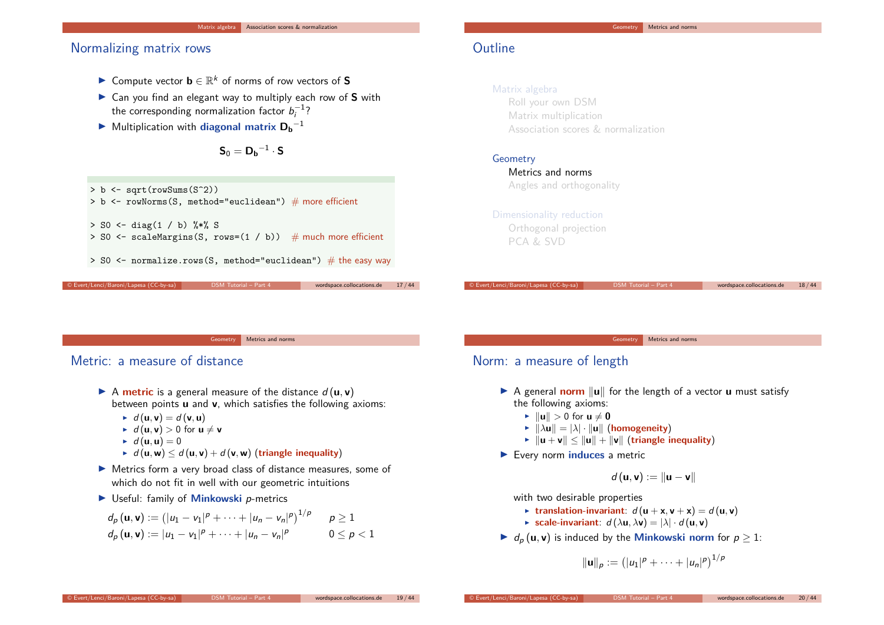### Normalizing matrix rows

- I Compute vector **b** ∈ R <sup>k</sup> of norms of row vectors of **S**
- ▶ Can you find an elegant way to multiply each row of S with the corresponding normalization factor  $b_i^{-1}$ ?
- ▶ Multiplication with **diagonal matrix**  $D_b^{-1}$

$$
\bm{S}_0 = \bm{D_b}^{-1} \cdot \bm{S}
$$

> b <- sqrt(rowSums(S^2))  $>$  b  $\leq$  rowNorms(S, method="euclidean") # more efficient  $>$  SO  $\leftarrow$  diag(1 / b)  $\frac{9*}{6}$  S > S0 <- scaleMargins(S, rows= $(1 / b)$ ) # much more efficient  $>$  SO  $\leq$  normalize.rows(S, method="euclidean")  $\#$  the easy way © Evert/Lenci/Baroni/Lapesa (CC-by-sa) DSM Tutorial – Part 4 wordspace.collocations.de 17 / 44

# **Outline**

### Matrix algebra

Roll your own DSM Matrix multiplication Association scores & normalization

### Geometry

Metrics and norms Angles and orthogonality

### Dimensionality reduction

Orthogonal projection PCA & SVD

© Evert/Lenci/Baroni/Lapesa (CC-by-sa) DSM Tutorial – Part 4 wordspace.collocations.de 18 / 44

Geometry Metrics and norms

# Metric: a measure of distance

- $\triangleright$  A **metric** is a general measure of the distance  $d(\mathbf{u}, \mathbf{v})$ between points **u** and **v**, which satisfies the following axioms:
	- $\blacktriangleright$  d (**u***,* **v**) = d (**v***,* **u**)
	- $\bf{I}$  d (**u**, **v**) > 0 for **u**  $\neq$  **v**
	- $\blacktriangleright$  d (**u**, **u**) = 0
	- $\triangleright$  d (**u***,* **w**)  $\le$  d (**u***,* **v**) + d (**v***,* **w**) (**triangle inequality**)
- $\blacktriangleright$  Metrics form a very broad class of distance measures, some of which do not fit in well with our geometric intuitions
- ▶ Useful: family of **Minkowski** *p*-metrics

$$
d_p(\mathbf{u}, \mathbf{v}) := (|u_1 - v_1|^p + \dots + |u_n - v_n|^p)^{1/p} \qquad p \ge 1
$$
  

$$
d_p(\mathbf{u}, \mathbf{v}) := |u_1 - v_1|^p + \dots + |u_n - v_n|^p \qquad 0 \le p < 1
$$

#### Geometry Metrics and norms

# Norm: a measure of length

- $\triangleright$  A general **norm**  $\|\mathbf{u}\|$  for the length of a vector **u** must satisfy the following axioms:
	- $\blacktriangleright$   $\|\mathbf{u}\| > 0$  for  $\mathbf{u} \neq \mathbf{0}$
	- $\blacktriangleright$   $\|\lambda \mathbf{u}\| = |\lambda| \cdot \|\mathbf{u}\|$  (homogeneity)
	- $\blacktriangleright$   $\|u + v\| \leq \|u\| + \|v\|$  (triangle inequality)
- ▶ Every norm **induces** a metric

$$
d\left(\mathbf{u},\mathbf{v}\right):=\left\Vert \mathbf{u}-\mathbf{v}\right\Vert
$$

with two desirable properties

- **Example 1** translation-invariant:  $d(\mathbf{u} + \mathbf{x}, \mathbf{v} + \mathbf{x}) = d(\mathbf{u}, \mathbf{v})$
- **F** scale-invariant:  $d(\lambda \mathbf{u}, \lambda \mathbf{v}) = |\lambda| \cdot d(\mathbf{u}, \mathbf{v})$
- $\blacktriangleright$  d<sub>p</sub> (**u**, **v**) is induced by the **Minkowski norm** for  $p \geq 1$ :

$$
\|\mathbf{u}\|_p := (|u_1|^p + \cdots + |u_n|^p)^{1/p}
$$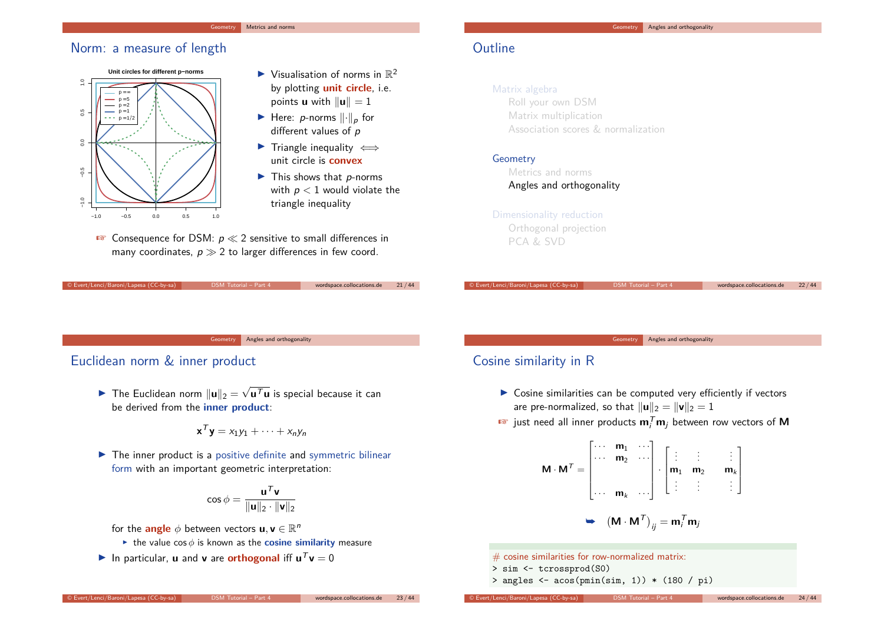#### Metrics and norms

### Norm: a measure of length



- $\blacktriangleright$  Visualisation of norms in  $\mathbb{R}^2$ by plotting **unit circle**, i.e. points **u** with  $\|\mathbf{u}\| = 1$
- $\blacktriangleright$  Here: *p*-norms  $\lVert \cdot \rVert_p$  for different values of p
- $\triangleright$  Triangle inequality  $\iff$ unit circle is **convex**
- $\blacktriangleright$  This shows that *p*-norms with  $p < 1$  would violate the triangle inequality
- **EX** Consequence for DSM:  $p \ll 2$  sensitive to small differences in many coordinates,  $p \gg 2$  to larger differences in few coord.

© Evert/Lenci/Baroni/Lapesa (CC-by-sa) DSM Tutorial – Part 4 wordspace.collocations.de 21 / 44

# **Outline**

### Matrix algebra

Roll your own DSM Matrix multiplication Association scores & normalization

### Geometry

Metrics and norms Angles and orthogonality

#### Dimensionality reduction

Orthogonal projection PCA & SVD

© Evert/Lenci/Baroni/Lapesa (CC-by-sa) DSM Tutorial – Part 4 wordspace.collocations.de 22 / 44

Geometry Angles and orthogonality

### Euclidean norm & inner product

▶ The Euclidean norm  $\|\mathbf{u}\|_2 = \sqrt{\mathbf{u}^T\mathbf{u}}$  is special because it can be derived from the **inner product**:

$$
\mathbf{x}^T \mathbf{y} = x_1 y_1 + \cdots + x_n y_n
$$

 $\blacktriangleright$  The inner product is a positive definite and symmetric bilinear form with an important geometric interpretation:

$$
\cos\phi=\frac{\mathbf{u}^T\mathbf{v}}{\|\mathbf{u}\|_2\cdot\|\mathbf{v}\|_2}
$$

for the  $\mathsf{angle} \phi$  between vectors  $\mathsf{u}, \mathsf{v} \in \mathbb{R}^n$ 

- $\triangleright$  the value cos  $\phi$  is known as the **cosine similarity** measure
- In particular, **u** and **v** are **orthogonal** iff  $\mathbf{u}^T \mathbf{v} = 0$

#### Geometry Angles and orthogonality

Geometry **Angles and orthogonality** 

## Cosine similarity in R

- $\triangleright$  Cosine similarities can be computed very efficiently if vectors are pre-normalized, so that  $\|\mathbf{u}\|_2 = \|\mathbf{v}\|_2 = 1$
- $\mathbf{F}$  just need all inner products  $\mathbf{m}_i^T \mathbf{m}_j$  between row vectors of  $\mathbf{M}$

$$
\mathbf{M} \cdot \mathbf{M}^T = \begin{bmatrix} \cdots & \mathbf{m}_1 & \cdots \\ \cdots & \mathbf{m}_2 & \cdots \\ \cdots & \mathbf{m}_k & \cdots \end{bmatrix} \cdot \begin{bmatrix} \vdots & \vdots & \vdots \\ \mathbf{m}_1 & \mathbf{m}_2 & \mathbf{m}_k \\ \vdots & \vdots & \vdots \end{bmatrix}
$$

$$
\Rightarrow (\mathbf{M} \cdot \mathbf{M}^T)_{ij} = \mathbf{m}_i^T \mathbf{m}_j
$$

 $#$  cosine similarities for row-normalized matrix:

- > sim <- tcrossprod(S0)
- $>$  angles  $\leq$  acos(pmin(sim, 1)) \* (180 / pi)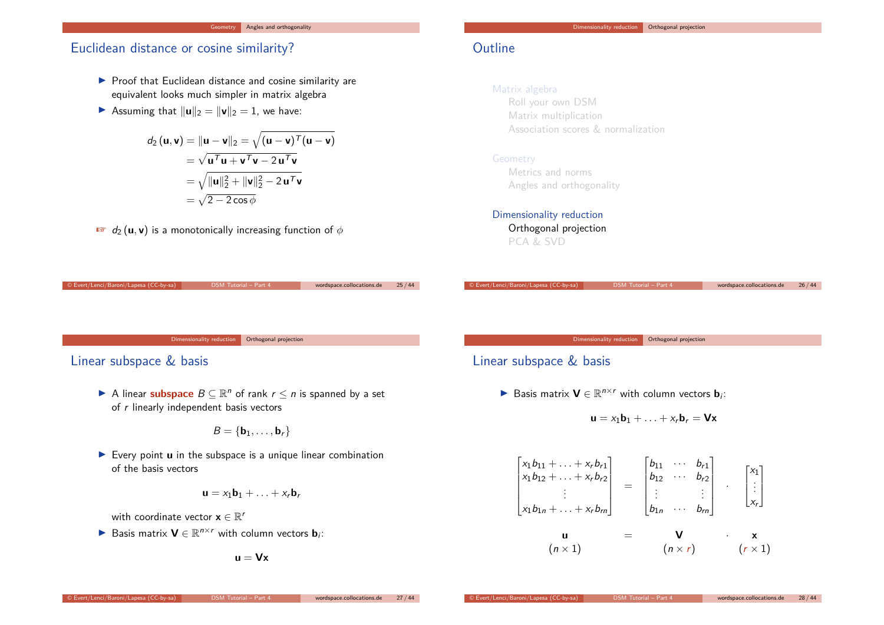### Euclidean distance or cosine similarity?

- $\blacktriangleright$  Proof that Euclidean distance and cosine similarity are equivalent looks much simpler in matrix algebra
- **If** Assuming that  $\|\mathbf{u}\|_2 = \|\mathbf{v}\|_2 = 1$ , we have:

$$
d_2(\mathbf{u}, \mathbf{v}) = \|\mathbf{u} - \mathbf{v}\|_2 = \sqrt{(\mathbf{u} - \mathbf{v})^T (\mathbf{u} - \mathbf{v})}
$$
  
=  $\sqrt{\mathbf{u}^T \mathbf{u} + \mathbf{v}^T \mathbf{v} - 2 \mathbf{u}^T \mathbf{v}}$   
=  $\sqrt{\|\mathbf{u}\|_2^2 + \|\mathbf{v}\|_2^2 - 2 \mathbf{u}^T \mathbf{v}}$   
=  $\sqrt{2 - 2 \cos \phi}$ 

 $\mathbf{u} \cdot \mathbf{v} = d_2(\mathbf{u}, \mathbf{v})$  is a monotonically increasing function of  $\phi$ 

# **Outline**

### Matrix algebra

Roll your own DSM Matrix multiplication Association scores & normalization

### Geometry

Metrics and norms Angles and orthogonality

### Dimensionality reduction

Orthogonal projection PCA & SVD

| © Evert/Lenci/Baroni/Lapesa (CC-by-sa) | DSM Tutorial - Part 4 | wordspace.collocations.de | 25/44 |
|----------------------------------------|-----------------------|---------------------------|-------|
|                                        |                       |                           |       |
|                                        |                       |                           |       |
|                                        |                       |                           |       |
|                                        |                       |                           |       |
|                                        |                       |                           |       |
| Dimensionality reduction               | Orthogonal projection |                           |       |

Linear subspace & basis

A linear **subspace**  $B \subseteq \mathbb{R}^n$  of rank  $r \leq n$  is spanned by a set of  $r$  linearly independent basis vectors

$$
\mathit{B} = \{ \bm{b}_1, \ldots, \bm{b}_r \}
$$

 $\blacktriangleright$  Every point  $\boldsymbol{u}$  in the subspace is a unique linear combination of the basis vectors

$$
\mathbf{u} = x_1 \mathbf{b}_1 + \ldots + x_r \mathbf{b}_r
$$

with coordinate vector  $\mathbf{x} \in \mathbb{R}^r$ 

▶ Basis matrix  $V \in \mathbb{R}^{n \times r}$  with column vectors  $\mathbf{b}_i$ :

$$
\mathbf{u} = \mathbf{V}\mathbf{x}
$$

Dimensionality reduction **Orthogonal projection** 

© Evert/Lenci/Baroni/Lapesa (CC-by-sa) DSM Tutorial – Part 4 wordspace.collocations.de 26 / 44

# Linear subspace & basis

▶ Basis matrix  $V \in \mathbb{R}^{n \times r}$  with column vectors  $\mathbf{b}_i$ :

$$
\mathbf{u} = x_1 \mathbf{b}_1 + \ldots + x_r \mathbf{b}_r = \mathbf{V} \mathbf{x}
$$

$$
\begin{bmatrix}\nx_1b_{11} + \dots + x_r b_{r1} \\
x_1b_{12} + \dots + x_r b_{r2} \\
\vdots \\
x_1b_{1n} + \dots + x_r b_m\n\end{bmatrix} = \begin{bmatrix}\nb_{11} & \cdots & b_{r1} \\
b_{12} & \cdots & b_{r2} \\
\vdots & & \vdots \\
b_{1n} & \cdots & b_{rn}\n\end{bmatrix} \cdot \begin{bmatrix}\nx_1 \\
\vdots \\
x_r\n\end{bmatrix}
$$
\n
$$
\mathbf{u} = \mathbf{V} \cdot \mathbf{x}
$$
\n
$$
(n \times 1) \qquad (n \times r) \qquad (r \times 1)
$$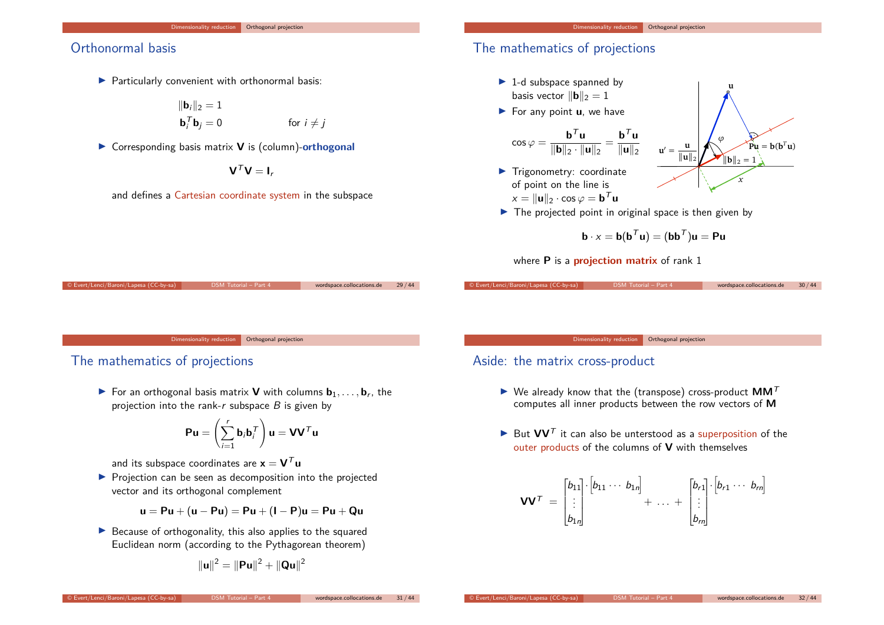# Orthonormal basis

 $\blacktriangleright$  Particularly convenient with orthonormal basis:

$$
\|\mathbf{b}_i\|_2 = 1
$$
  

$$
\mathbf{b}_i^T \mathbf{b}_j = 0
$$
 for  $i \neq j$ 

▶ Corresponding basis matrix **V** is (column)-orthogonal

 $V^T V = I_r$ 

and defines a Cartesian coordinate system in the subspace

# The mathematics of projections

- $\blacktriangleright$  1-d subspace spanned by basis vector  $\|\mathbf{b}\|_2 = 1$
- ▶ For any point **u**, we have

$$
\cos \varphi = \frac{\mathbf{b}^T \mathbf{u}}{\|\mathbf{b}\|_2 \cdot \|\mathbf{u}\|_2} = \frac{\mathbf{b}^T \mathbf{u}}{\|\mathbf{u}\|_2}
$$

 $\blacktriangleright$  Trigonometry: coordinate of point on the line is  $x = \|\mathbf{u}\|_2 \cdot \cos \varphi = \mathbf{b}^T \mathbf{u}$ 



**u**

 $\blacktriangleright$  The projected point in original space is then given by

$$
\mathbf{b} \cdot x = \mathbf{b}(\mathbf{b}^T \mathbf{u}) = (\mathbf{b} \mathbf{b}^T) \mathbf{u} = \mathbf{P} \mathbf{u}
$$

where **P** is a **projection matrix** of rank 1

Orthogonal projection

© Evert/Lenci/Baroni/Lapesa (CC-by-sa) DSM Tutorial – Part 4 wordspace.collocations.de 29 / 44

### The mathematics of projections

 $\blacktriangleright$  For an orthogonal basis matrix **V** with columns  $\mathbf{b}_1, \ldots, \mathbf{b}_r$ , the projection into the rank-r subspace  $B$  is given by

$$
Pu = \left(\sum_{i=1}^r b_i b_i^T\right) u = V V^T u
$$

and its subspace coordinates are  $x = V^T u$ 

 $\blacktriangleright$  Projection can be seen as decomposition into the projected vector and its orthogonal complement

$$
u = Pu + (u - Pu) = Pu + (I - P)u = Pu + Qu
$$

 $\blacktriangleright$  Because of orthogonality, this also applies to the squared Euclidean norm (according to the Pythagorean theorem)

$$
\|{\bf u}\|^2=\|{\bf P}{\bf u}\|^2+\|{\bf Q}{\bf u}\|^2
$$

### Orthogonal projection

© Evert/Lenci/Baroni/Lapesa (CC-by-sa) DSM Tutorial – Part 4 wordspace.collocations.de 30 / 44

### Aside: the matrix cross-product

- $\blacktriangleright$  We already know that the (transpose) cross-product  $MM^T$ computes all inner products between the row vectors of **M**
- $\blacktriangleright$  But  $VV<sup>T</sup>$  it can also be unterstood as a superposition of the outer products of the columns of **V** with themselves

$$
\mathbf{V}\mathbf{V}^T = \begin{bmatrix} b_{11} \\ \vdots \\ b_{1n} \end{bmatrix} \begin{bmatrix} b_{11} \cdots b_{1n} \end{bmatrix} + \ldots + \begin{bmatrix} b_{r1} \\ \vdots \\ b_{rn} \end{bmatrix} \begin{bmatrix} b_{r1} \cdots b_{rn} \end{bmatrix}
$$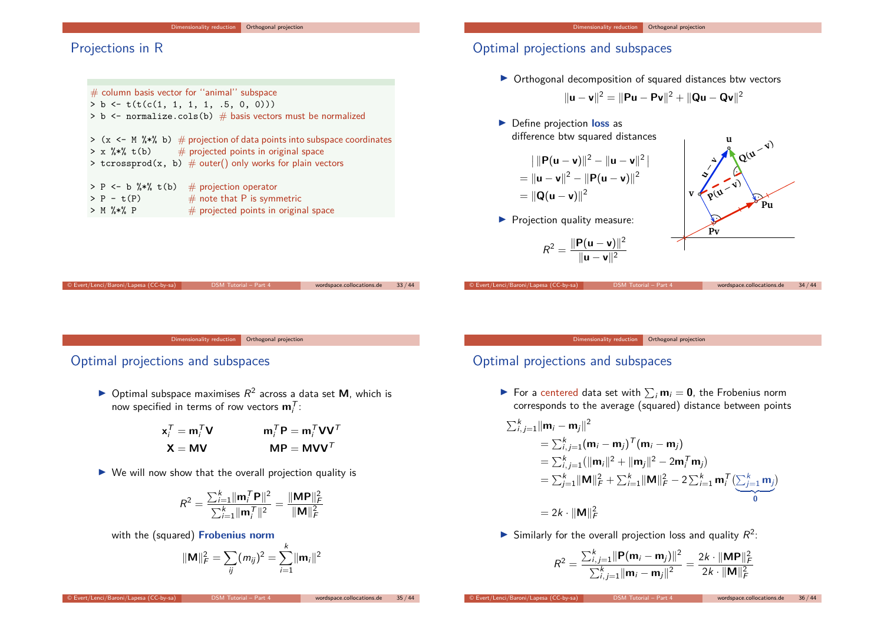# Projections in R

| $#$ column basis vector for "animal" subspace                                                                                                                                                                     |  |  |  |
|-------------------------------------------------------------------------------------------------------------------------------------------------------------------------------------------------------------------|--|--|--|
| > b <- $t(t(c(1, 1, 1, 1, 1, .5, 0, 0)))$                                                                                                                                                                         |  |  |  |
| > b <- normalize.cols(b) $#$ basis vectors must be normalized                                                                                                                                                     |  |  |  |
| > $(x \leq M \$ * (x $\leq$ 0) $\#$ projection of data points into subspace coordinates<br>$> x$ %*% t(b) $\#$ projected points in original space<br>> tcrossprod(x, b) $\#$ outer() only works for plain vectors |  |  |  |
| > P <- b $\frac{9}{8}$ , t(b) # projection operator<br>$#$ note that P is symmetric<br>$> P - t(P)$<br>$#$ projected points in original space<br>$> M$ %*% P                                                      |  |  |  |
|                                                                                                                                                                                                                   |  |  |  |

# Optimal projections and subspaces

 $\triangleright$  Orthogonal decomposition of squared distances btw vectors

$$
\|\mathbf{u} - \mathbf{v}\|^2 = \|\mathbf{P}\mathbf{u} - \mathbf{P}\mathbf{v}\|^2 + \|\mathbf{Q}\mathbf{u} - \mathbf{Q}\mathbf{v}\|^2
$$

▶ Define projection loss as difference btw squared distances

$$
||\mathbf{P}(\mathbf{u} - \mathbf{v})||^2 - ||\mathbf{u} - \mathbf{v}||^2|
$$
  
=  $||\mathbf{u} - \mathbf{v}||^2 - ||\mathbf{P}(\mathbf{u} - \mathbf{v})||^2$   
=  $||\mathbf{Q}(\mathbf{u} - \mathbf{v})||^2$ 

 $\blacktriangleright$  Projection quality measure:

$$
R^2 = \frac{\|\mathbf{P}(\mathbf{u} - \mathbf{v})\|^2}{\|\mathbf{u} - \mathbf{v}\|^2}
$$

© Evert/Lenci/Baroni/Lapesa (CC-by-sa) DSM Tutorial – Part 4 wordspace.collocations.de 34 / 44

**Pu**

 $Q^{(u - v)}$ 

**.**

**u**

 $p(u - v)$ 

**Pv**

**v**

**u**/ **v**

Dimensionality reduction Orthogonal projection

© Evert/Lenci/Baroni/Lapesa (CC-by-sa) DSM Tutorial – Part 4 wordspace.collocations.de 33 / 44

# Optimal projections and subspaces

 $\triangleright$  Optimal subspace maximises  $R^2$  across a data set **M**, which is now specified in terms of row vectors  $\mathbf{m}_i^{\mathcal{T}}$ :

$$
\mathbf{x}_{i}^{T} = \mathbf{m}_{i}^{T} \mathbf{V} \qquad \qquad \mathbf{m}_{i}^{T} \mathbf{P} = \mathbf{m}_{i}^{T} \mathbf{V} \mathbf{V}^{T}
$$

$$
\mathbf{X} = \mathbf{M} \mathbf{V} \qquad \qquad \mathbf{M} \mathbf{P} = \mathbf{M} \mathbf{V} \mathbf{V}^{T}
$$

 $\triangleright$  We will now show that the overall projection quality is

$$
R^{2} = \frac{\sum_{i=1}^{k} ||\mathbf{m}_{i}^{T} \mathbf{P}||^{2}}{\sum_{i=1}^{k} ||\mathbf{m}_{i}^{T}||^{2}} = \frac{||\mathbf{MP}||_{F}^{2}}{||\mathbf{M}||_{F}^{2}}
$$

with the (squared) **Frobenius norm**

$$
\|\mathbf{M}\|_F^2 = \sum_{ij} (m_{ij})^2 = \sum_{i=1}^k \|\mathbf{m}_i\|^2
$$

Dimensionality reduction **Orthogonal projection** 

# Optimal projections and subspaces

 $\blacktriangleright$  For a centered data set with  $\sum_i \mathbf{m}_i = \mathbf{0}$ , the Frobenius norm corresponds to the average (squared) distance between points

$$
\sum_{i,j=1}^{k} ||\mathbf{m}_{i} - \mathbf{m}_{j}||^{2}
$$
\n
$$
= \sum_{i,j=1}^{k} (\mathbf{m}_{i} - \mathbf{m}_{j})^{\top} (\mathbf{m}_{i} - \mathbf{m}_{j})
$$
\n
$$
= \sum_{i,j=1}^{k} (||\mathbf{m}_{i}||^{2} + ||\mathbf{m}_{j}||^{2} - 2\mathbf{m}_{i}^{\top} \mathbf{m}_{j})
$$
\n
$$
= \sum_{j=1}^{k} ||\mathbf{M}||_{F}^{2} + \sum_{i=1}^{k} ||\mathbf{M}||_{F}^{2} - 2\sum_{i=1}^{k} \mathbf{m}_{i}^{\top} (\sum_{j=1}^{k} \mathbf{m}_{j})
$$
\n
$$
= 2k \cdot ||\mathbf{M}||_{F}^{2}
$$

Similarly for the overall projection loss and quality  $R^2$ :

$$
R^{2} = \frac{\sum_{i,j=1}^{k} ||\mathbf{P}(\mathbf{m}_{i} - \mathbf{m}_{j})||^{2}}{\sum_{i,j=1}^{k} ||\mathbf{m}_{i} - \mathbf{m}_{j}||^{2}} = \frac{2k \cdot ||\mathbf{MP}||_{F}^{2}}{2k \cdot ||\mathbf{M}||_{F}^{2}}
$$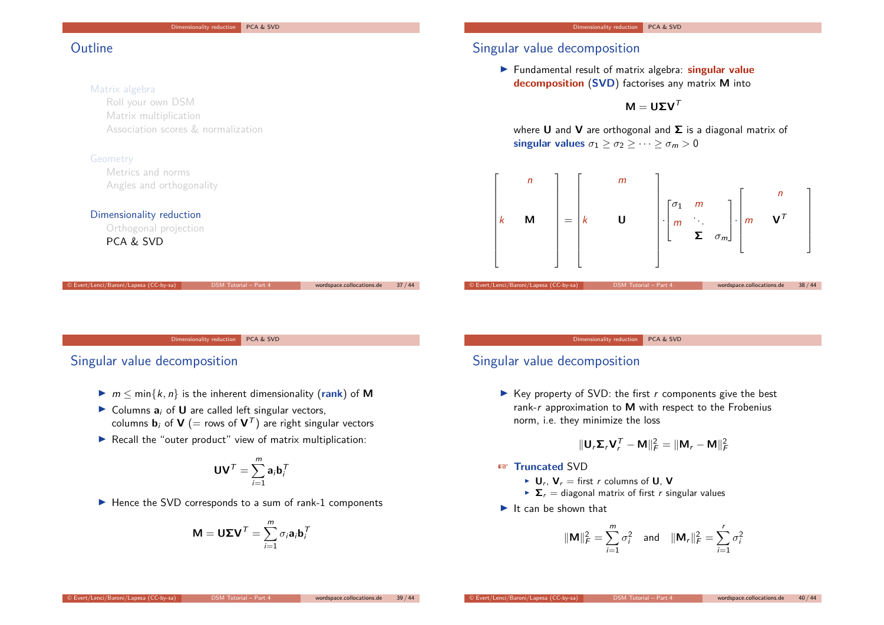# **Outline**

#### Matrix algebra

Roll your own DSM Matrix multiplication Association scores & normalization

### Geometry

Metrics and norms Angles and orthogonality

#### Dimensionality reduction

Orthogonal projection PCA & SVD

# Singular value decomposition

**Fundamental result of matrix algebra: singular value decomposition** (**SVD**) factorises any matrix **M** into

 $$ 

where **U** and **V** are orthogonal and **Σ** is a diagonal matrix of **singular values**  $\sigma_1 \geq \sigma_2 \geq \cdots \geq \sigma_m > 0$ 



Dimensionality reduction PCA & SVD

© Evert/Lenci/Baroni/Lapesa (CC-by-sa) DSM Tutorial – Part 4 wordspace.collocations.de 37 / 44

### Singular value decomposition

- $\triangleright$   $m \leq \min\{k, n\}$  is the inherent dimensionality (rank) of M
- $\triangleright$  Columns  $a_i$  of **U** are called left singular vectors, columns **b**<sub>i</sub> of **V** (= rows of  $V<sup>T</sup>$ ) are right singular vectors
- $\blacktriangleright$  Recall the "outer product" view of matrix multiplication:

$$
\mathbf{U}\mathbf{V}^T = \sum_{i=1}^m \mathbf{a}_i \mathbf{b}_i^T
$$

 $\blacktriangleright$  Hence the SVD corresponds to a sum of rank-1 components

$$
\mathbf{M} = \mathbf{U} \boldsymbol{\Sigma} \mathbf{V}^T = \sum_{i=1}^m \sigma_i \mathbf{a}_i \mathbf{b}_i^T
$$

#### Dimensionality reduction PCA & SVD

# Singular value decomposition

 $\triangleright$  Key property of SVD: the first r components give the best rank-r approximation to **M** with respect to the Frobenius norm, i.e. they minimize the loss

$$
\|\mathbf{U}_r\mathbf{\Sigma}_r\mathbf{V}_r^{\mathsf{T}} - \mathbf{M}\|_F^2 = \|\mathbf{M}_r - \mathbf{M}\|_F^2
$$

#### ☞ **Truncated** SVD

- $\blacktriangleright$  **U**<sub>r</sub>, **V**<sub>r</sub> = first *r* columns of **U**, **V**
- $\sum$  = diagonal matrix of first r singular values
- $\blacktriangleright$  It can be shown that

$$
\|\mathbf{M}\|_F^2 = \sum_{i=1}^m \sigma_i^2 \quad \text{and} \quad \|\mathbf{M}_r\|_F^2 = \sum_{i=1}^r \sigma_i^2
$$